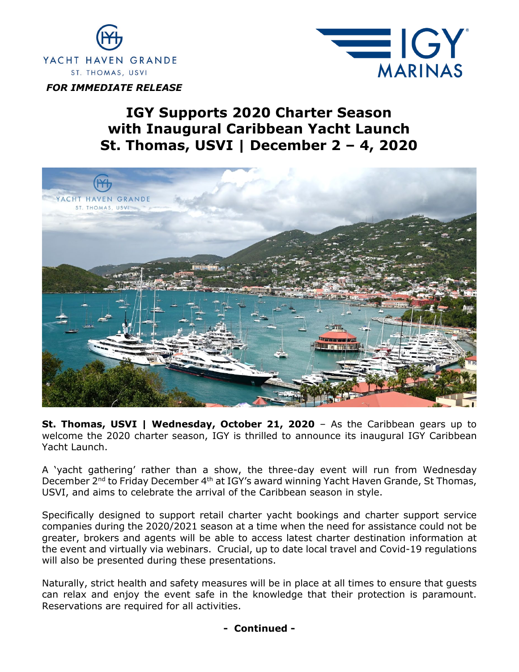

EIGY **MARINAS** 

*FOR IMMEDIATE RELEASE*

## **IGY Supports 2020 Charter Season with Inaugural Caribbean Yacht Launch St. Thomas, USVI | December 2 – 4, 2020**



**St. Thomas, USVI | Wednesday, October 21, 2020** - As the Caribbean gears up to welcome the 2020 charter season, IGY is thrilled to announce its inaugural IGY Caribbean Yacht Launch.

A 'yacht gathering' rather than a show, the three-day event will run from Wednesday December 2<sup>nd</sup> to Friday December 4<sup>th</sup> at IGY's award winning Yacht Haven Grande, St Thomas, USVI, and aims to celebrate the arrival of the Caribbean season in style.

Specifically designed to support retail charter yacht bookings and charter support service companies during the 2020/2021 season at a time when the need for assistance could not be greater, brokers and agents will be able to access latest charter destination information at the event and virtually via webinars. Crucial, up to date local travel and Covid-19 regulations will also be presented during these presentations.

Naturally, strict health and safety measures will be in place at all times to ensure that guests can relax and enjoy the event safe in the knowledge that their protection is paramount. Reservations are required for all activities.